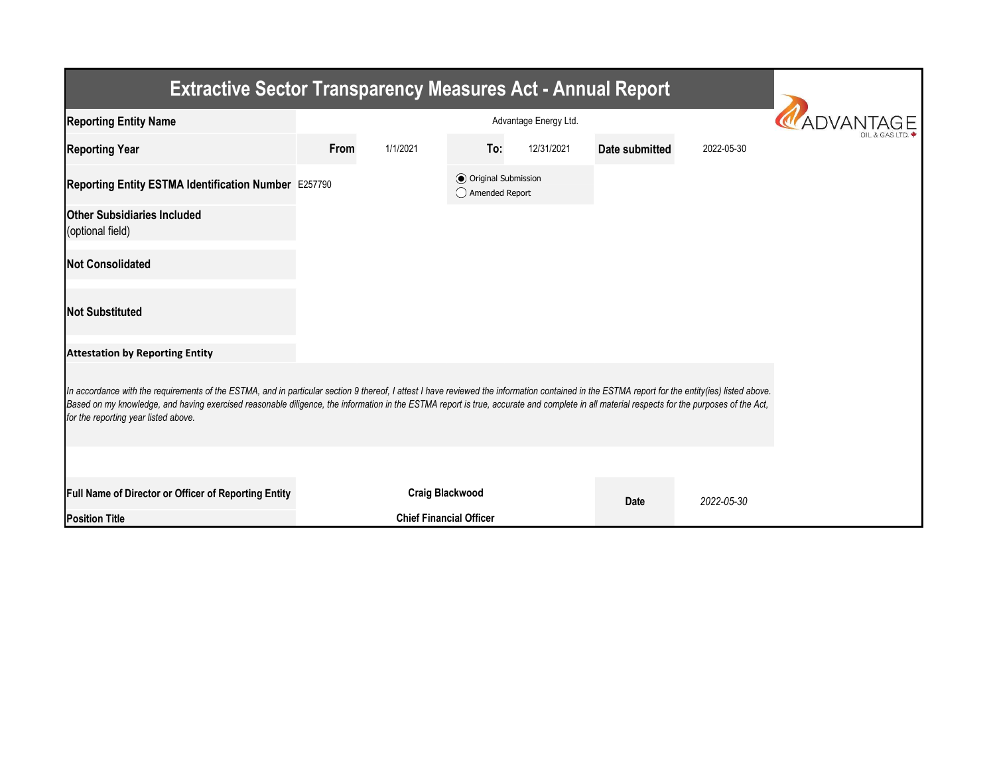| <b>Extractive Sector Transparency Measures Act - Annual Report</b>                                                                                                                                                                                                                                                                                                                                                                    |      |                                |                                                |                           |                |            |  |  |  |  |
|---------------------------------------------------------------------------------------------------------------------------------------------------------------------------------------------------------------------------------------------------------------------------------------------------------------------------------------------------------------------------------------------------------------------------------------|------|--------------------------------|------------------------------------------------|---------------------------|----------------|------------|--|--|--|--|
| <b>Reporting Entity Name</b>                                                                                                                                                                                                                                                                                                                                                                                                          |      |                                |                                                |                           |                |            |  |  |  |  |
| <b>Reporting Year</b>                                                                                                                                                                                                                                                                                                                                                                                                                 | From | 1/1/2021                       | To:                                            | 12/31/2021                | Date submitted | 2022-05-30 |  |  |  |  |
| Reporting Entity ESTMA Identification Number E257790                                                                                                                                                                                                                                                                                                                                                                                  |      |                                | <b>◎</b> Original Submission<br>Amended Report |                           |                |            |  |  |  |  |
| <b>Other Subsidiaries Included</b><br>(optional field)                                                                                                                                                                                                                                                                                                                                                                                |      |                                |                                                |                           |                |            |  |  |  |  |
| <b>Not Consolidated</b>                                                                                                                                                                                                                                                                                                                                                                                                               |      |                                |                                                |                           |                |            |  |  |  |  |
| <b>Not Substituted</b>                                                                                                                                                                                                                                                                                                                                                                                                                |      |                                |                                                |                           |                |            |  |  |  |  |
| <b>Attestation by Reporting Entity</b>                                                                                                                                                                                                                                                                                                                                                                                                |      |                                |                                                |                           |                |            |  |  |  |  |
| In accordance with the requirements of the ESTMA, and in particular section 9 thereof, I attest I have reviewed the information contained in the ESTMA report for the entity(ies) listed above.<br>Based on my knowledge, and having exercised reasonable diligence, the information in the ESTMA report is true, accurate and complete in all material respects for the purposes of the Act,<br>for the reporting year listed above. |      |                                |                                                |                           |                |            |  |  |  |  |
|                                                                                                                                                                                                                                                                                                                                                                                                                                       |      |                                |                                                |                           |                |            |  |  |  |  |
| Full Name of Director or Officer of Reporting Entity                                                                                                                                                                                                                                                                                                                                                                                  |      | <b>Craig Blackwood</b>         |                                                | 2022-05-30<br><b>Date</b> |                |            |  |  |  |  |
| <b>Position Title</b>                                                                                                                                                                                                                                                                                                                                                                                                                 |      | <b>Chief Financial Officer</b> |                                                |                           |                |            |  |  |  |  |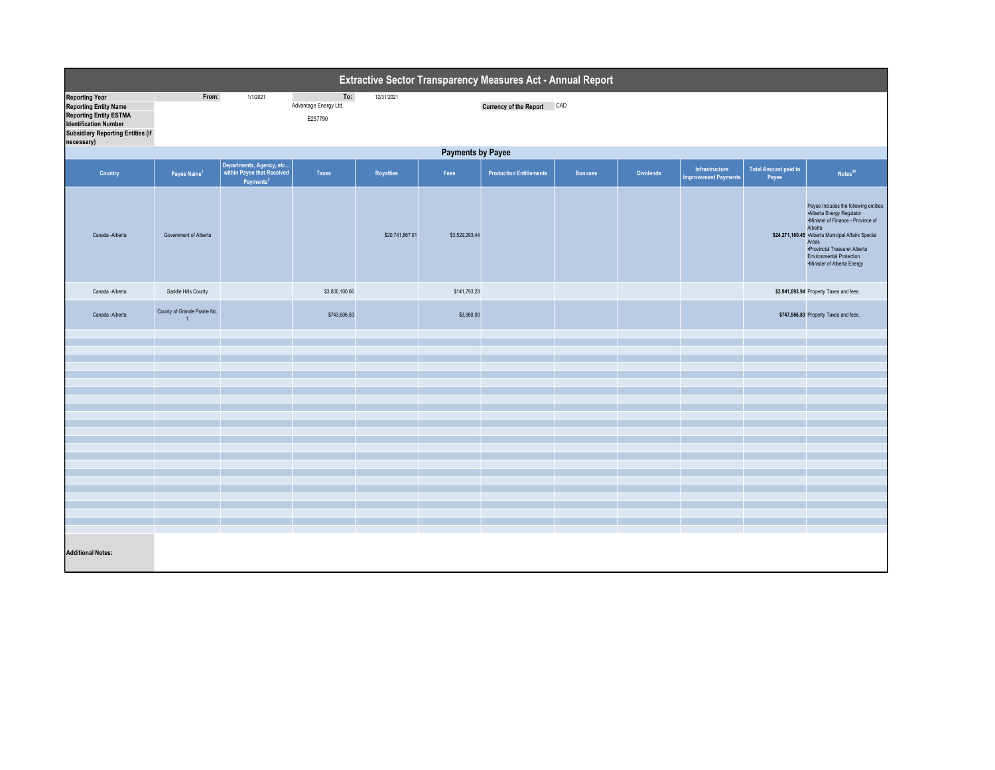| Extractive Sector Transparency Measures Act - Annual Report                                                                                                                      |                                                |                                                   |                                         |                  |                |                                |                |                  |                                               |                                      |                                                                                                                                                                                                                                                                                        |
|----------------------------------------------------------------------------------------------------------------------------------------------------------------------------------|------------------------------------------------|---------------------------------------------------|-----------------------------------------|------------------|----------------|--------------------------------|----------------|------------------|-----------------------------------------------|--------------------------------------|----------------------------------------------------------------------------------------------------------------------------------------------------------------------------------------------------------------------------------------------------------------------------------------|
| <b>Reporting Year</b><br><b>Reporting Entity Name</b><br><b>Reporting Entity ESTMA</b><br><b>Identification Number</b><br><b>Subsidiary Reporting Entities (if</b><br>necessary) | From:                                          | 1/1/2021                                          | To:<br>Advantage Energy Ltd.<br>E257790 | 12/31/2021       |                | Currency of the Report CAD     |                |                  |                                               |                                      |                                                                                                                                                                                                                                                                                        |
| <b>Payments by Payee</b>                                                                                                                                                         |                                                |                                                   |                                         |                  |                |                                |                |                  |                                               |                                      |                                                                                                                                                                                                                                                                                        |
| Country                                                                                                                                                                          | Payee Name <sup>1</sup>                        | Departments, Agency, etc<br>Payments <sup>2</sup> | <b>Taxes</b>                            | <b>Royalties</b> | Fees           | <b>Production Entitlements</b> | <b>Bonuses</b> | <b>Dividends</b> | Infrastructure<br><b>Improvement Payments</b> | <b>Total Amount paid to</b><br>Payee | Notes <sup>34</sup>                                                                                                                                                                                                                                                                    |
| Canada -Alberta                                                                                                                                                                  | Government of Alberta                          |                                                   |                                         | \$20,741,867.01  | \$3,529,293.44 |                                |                |                  |                                               |                                      | Payee Includes the following entities:<br>-Alberta Energy Regulator<br>-Minister of Finance - Province of<br>Alberta<br>\$24,271,160.45 .Alberta Municipal Affairs Special<br>Areas<br>·Provincial Treasurer Alberta<br><b>Environmental Protection</b><br>·Minister of Alberta Energy |
| Canada -Alberta                                                                                                                                                                  | Saddle Hills County                            |                                                   | \$3,800,100.66                          |                  | \$141,793.28   |                                |                |                  |                                               |                                      | \$3,941,893.94 Property Taxes and fees.                                                                                                                                                                                                                                                |
| Canada -Alberta                                                                                                                                                                  | County of Grande Prairie No.<br>$\overline{1}$ |                                                   | \$743,606.83                            |                  | \$3,960.00     |                                |                |                  |                                               |                                      | \$747,566.83 Property Taxes and fees.                                                                                                                                                                                                                                                  |
|                                                                                                                                                                                  |                                                |                                                   |                                         |                  |                |                                |                |                  |                                               |                                      |                                                                                                                                                                                                                                                                                        |
|                                                                                                                                                                                  |                                                |                                                   |                                         |                  |                |                                |                |                  |                                               |                                      |                                                                                                                                                                                                                                                                                        |
|                                                                                                                                                                                  |                                                |                                                   |                                         |                  |                |                                |                |                  |                                               |                                      |                                                                                                                                                                                                                                                                                        |
|                                                                                                                                                                                  |                                                |                                                   |                                         |                  |                |                                |                |                  |                                               |                                      |                                                                                                                                                                                                                                                                                        |
|                                                                                                                                                                                  |                                                |                                                   |                                         |                  |                |                                |                |                  |                                               |                                      |                                                                                                                                                                                                                                                                                        |
|                                                                                                                                                                                  |                                                |                                                   |                                         |                  |                |                                |                |                  |                                               |                                      |                                                                                                                                                                                                                                                                                        |
|                                                                                                                                                                                  |                                                |                                                   |                                         |                  |                |                                |                |                  |                                               |                                      |                                                                                                                                                                                                                                                                                        |
|                                                                                                                                                                                  |                                                |                                                   |                                         |                  |                |                                |                |                  |                                               |                                      |                                                                                                                                                                                                                                                                                        |
|                                                                                                                                                                                  |                                                |                                                   |                                         |                  |                |                                |                |                  |                                               |                                      |                                                                                                                                                                                                                                                                                        |
|                                                                                                                                                                                  |                                                |                                                   |                                         |                  |                |                                |                |                  |                                               |                                      |                                                                                                                                                                                                                                                                                        |
|                                                                                                                                                                                  |                                                |                                                   |                                         |                  |                |                                |                |                  |                                               |                                      |                                                                                                                                                                                                                                                                                        |
|                                                                                                                                                                                  |                                                |                                                   |                                         |                  |                |                                |                |                  |                                               |                                      |                                                                                                                                                                                                                                                                                        |
|                                                                                                                                                                                  |                                                |                                                   |                                         |                  |                |                                |                |                  |                                               |                                      |                                                                                                                                                                                                                                                                                        |
|                                                                                                                                                                                  |                                                |                                                   |                                         |                  |                |                                |                |                  |                                               |                                      |                                                                                                                                                                                                                                                                                        |
| <b>Additional Notes:</b>                                                                                                                                                         |                                                |                                                   |                                         |                  |                |                                |                |                  |                                               |                                      |                                                                                                                                                                                                                                                                                        |